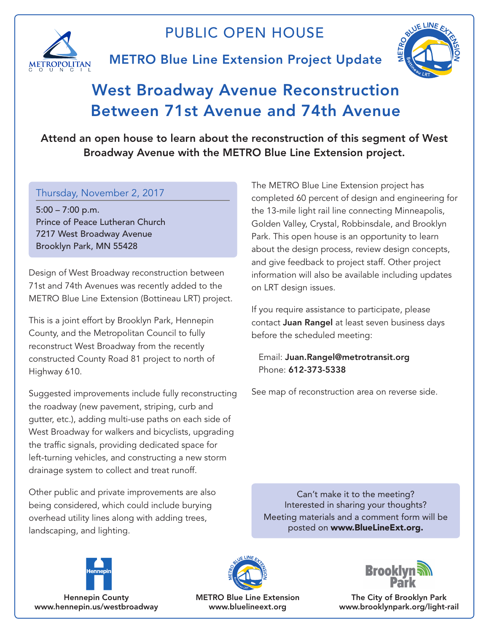

## PUBLIC OPEN HOUSE

## METRO Blue Line Extension Project Update



## West Broadway Avenue Reconstruction Between 71st Avenue and 74th Avenue

Attend an open house to learn about the reconstruction of this segment of West Broadway Avenue with the METRO Blue Line Extension project.

## Thursday, November 2, 2017

5:00 – 7:00 p.m. Prince of Peace Lutheran Church 7217 West Broadway Avenue Brooklyn Park, MN 55428

Design of West Broadway reconstruction between 71st and 74th Avenues was recently added to the METRO Blue Line Extension (Bottineau LRT) project.

This is a joint effort by Brooklyn Park, Hennepin County, and the Metropolitan Council to fully reconstruct West Broadway from the recently constructed County Road 81 project to north of Highway 610.

Suggested improvements include fully reconstructing the roadway (new pavement, striping, curb and gutter, etc.), adding multi-use paths on each side of West Broadway for walkers and bicyclists, upgrading the traffic signals, providing dedicated space for left-turning vehicles, and constructing a new storm drainage system to collect and treat runoff.

Other public and private improvements are also being considered, which could include burying overhead utility lines along with adding trees, landscaping, and lighting.

The METRO Blue Line Extension project has completed 60 percent of design and engineering for the 13-mile light rail line connecting Minneapolis, Golden Valley, Crystal, Robbinsdale, and Brooklyn Park. This open house is an opportunity to learn about the design process, review design concepts, and give feedback to project staff. Other project information will also be available including updates on LRT design issues.

If you require assistance to participate, please contact Juan Rangel at least seven business days before the scheduled meeting:

Email: Juan.Rangel@metrotransit.org Phone: 612-373-5338

See map of reconstruction area on reverse side.

Can't make it to the meeting? Interested in sharing your thoughts? Meeting materials and a comment form will be posted on www.BlueLineExt.org.



Hennepin County www.hennepin.us/westbroadway



METRO Blue Line Extension www.bluelineext.org



The City of Brooklyn Park www.brooklynpark.org/light-rail